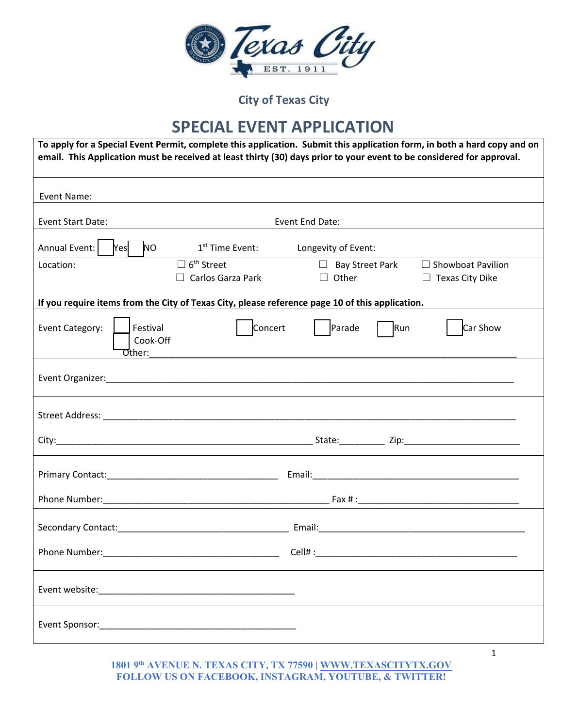

#### **SPECIAL EVENT APPLICATION**

| To apply for a Special Event Permit, complete this application. Submit this application form, in both a hard copy and on<br>email. This Application must be received at least thirty (30) days prior to your event to be considered for approval. |                                                           |                                        |     |                                                    |  |
|---------------------------------------------------------------------------------------------------------------------------------------------------------------------------------------------------------------------------------------------------|-----------------------------------------------------------|----------------------------------------|-----|----------------------------------------------------|--|
| Event Name:                                                                                                                                                                                                                                       |                                                           |                                        |     |                                                    |  |
| Event Start Date:                                                                                                                                                                                                                                 |                                                           | Event End Date:                        |     |                                                    |  |
| Annual Event:<br>NO<br>Yes                                                                                                                                                                                                                        | 1 <sup>st</sup> Time Event:                               | Longevity of Event:                    |     |                                                    |  |
| Location:                                                                                                                                                                                                                                         | $\Box$ 6 <sup>th</sup> Street<br>$\Box$ Carlos Garza Park | $\Box$ Bay Street Park<br>$\Box$ Other |     | $\Box$ Showboat Pavilion<br>$\Box$ Texas City Dike |  |
| If you require items from the City of Texas City, please reference page 10 of this application.                                                                                                                                                   |                                                           |                                        |     |                                                    |  |
| Event Category:<br>Festival<br>Cook-Off<br><b>Other:</b>                                                                                                                                                                                          | Concert                                                   | Parade                                 | Run | Car Show                                           |  |
|                                                                                                                                                                                                                                                   |                                                           |                                        |     |                                                    |  |
|                                                                                                                                                                                                                                                   |                                                           |                                        |     |                                                    |  |
|                                                                                                                                                                                                                                                   |                                                           |                                        |     |                                                    |  |
|                                                                                                                                                                                                                                                   |                                                           |                                        |     |                                                    |  |
|                                                                                                                                                                                                                                                   |                                                           |                                        |     |                                                    |  |
|                                                                                                                                                                                                                                                   |                                                           |                                        |     |                                                    |  |
| Phone Number:                                                                                                                                                                                                                                     |                                                           | Cell# : www.astronomia.com             |     |                                                    |  |
|                                                                                                                                                                                                                                                   |                                                           |                                        |     |                                                    |  |
|                                                                                                                                                                                                                                                   |                                                           |                                        |     |                                                    |  |

#### **1801 9th AVENUE N. TEXAS CITY, TX 77590 | WWW.TEXASCITYTX.GOV FOLLOW US ON FACEBOOK, INSTAGRAM, YOUTUBE, & TWITTER!**

1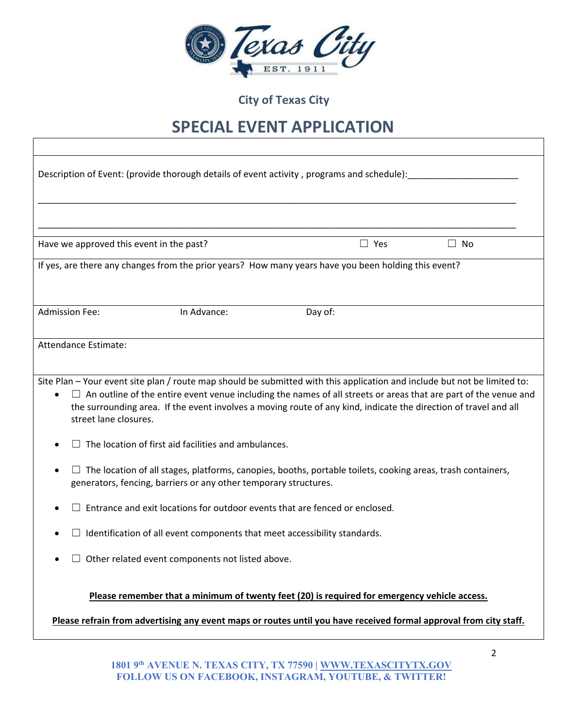

### **SPECIAL EVENT APPLICATION**

| Description of Event: (provide thorough details of event activity, programs and schedule):                                                                                                                                                                                                                                                                                                       |         |            |           |  |  |  |
|--------------------------------------------------------------------------------------------------------------------------------------------------------------------------------------------------------------------------------------------------------------------------------------------------------------------------------------------------------------------------------------------------|---------|------------|-----------|--|--|--|
|                                                                                                                                                                                                                                                                                                                                                                                                  |         |            |           |  |  |  |
| Have we approved this event in the past?                                                                                                                                                                                                                                                                                                                                                         |         | $\Box$ Yes | $\Box$ No |  |  |  |
| If yes, are there any changes from the prior years? How many years have you been holding this event?                                                                                                                                                                                                                                                                                             |         |            |           |  |  |  |
| <b>Admission Fee:</b><br>In Advance:                                                                                                                                                                                                                                                                                                                                                             | Day of: |            |           |  |  |  |
| Attendance Estimate:                                                                                                                                                                                                                                                                                                                                                                             |         |            |           |  |  |  |
| Site Plan - Your event site plan / route map should be submitted with this application and include but not be limited to:<br>$\Box$ An outline of the entire event venue including the names of all streets or areas that are part of the venue and<br>the surrounding area. If the event involves a moving route of any kind, indicate the direction of travel and all<br>street lane closures. |         |            |           |  |  |  |
| The location of first aid facilities and ambulances.                                                                                                                                                                                                                                                                                                                                             |         |            |           |  |  |  |
| The location of all stages, platforms, canopies, booths, portable toilets, cooking areas, trash containers,<br>٠<br>generators, fencing, barriers or any other temporary structures.                                                                                                                                                                                                             |         |            |           |  |  |  |
| Entrance and exit locations for outdoor events that are fenced or enclosed.                                                                                                                                                                                                                                                                                                                      |         |            |           |  |  |  |
| Identification of all event components that meet accessibility standards.                                                                                                                                                                                                                                                                                                                        |         |            |           |  |  |  |
| $\Box$ Other related event components not listed above.                                                                                                                                                                                                                                                                                                                                          |         |            |           |  |  |  |
| Please remember that a minimum of twenty feet (20) is required for emergency vehicle access.<br>Please refrain from advertising any event maps or routes until you have received formal approval from city staff.                                                                                                                                                                                |         |            |           |  |  |  |
|                                                                                                                                                                                                                                                                                                                                                                                                  |         |            |           |  |  |  |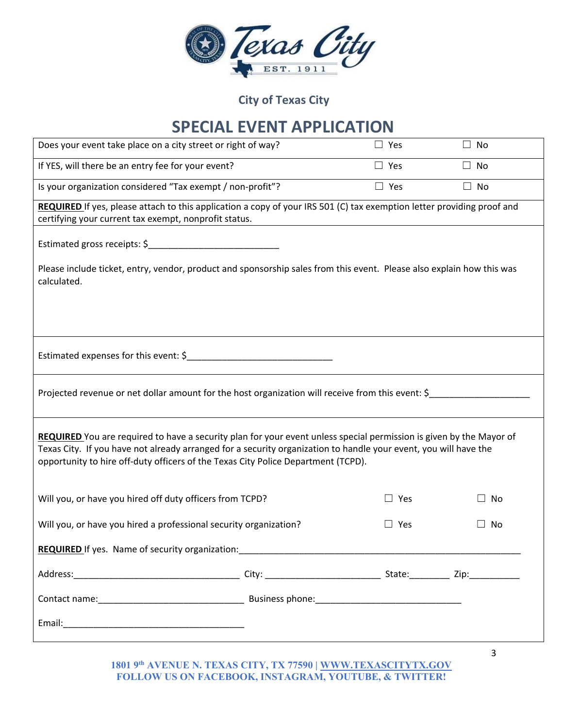

## **SPECIAL EVENT APPLICATION**

| Does your event take place on a city street or right of way?                                                                                                                                                                                                                                                                 |            | $\Box$ Yes | $\Box$ No    |
|------------------------------------------------------------------------------------------------------------------------------------------------------------------------------------------------------------------------------------------------------------------------------------------------------------------------------|------------|------------|--------------|
| If YES, will there be an entry fee for your event?                                                                                                                                                                                                                                                                           | $\Box$ Yes | $\Box$ No  |              |
| Is your organization considered "Tax exempt / non-profit"?                                                                                                                                                                                                                                                                   |            | $\Box$ Yes | $\Box$ No    |
| REQUIRED If yes, please attach to this application a copy of your IRS 501 (C) tax exemption letter providing proof and<br>certifying your current tax exempt, nonprofit status.                                                                                                                                              |            |            |              |
|                                                                                                                                                                                                                                                                                                                              |            |            |              |
| Please include ticket, entry, vendor, product and sponsorship sales from this event. Please also explain how this was<br>calculated.                                                                                                                                                                                         |            |            |              |
|                                                                                                                                                                                                                                                                                                                              |            |            |              |
|                                                                                                                                                                                                                                                                                                                              |            |            |              |
| Projected revenue or net dollar amount for the host organization will receive from this event: \$                                                                                                                                                                                                                            |            |            |              |
| REQUIRED You are required to have a security plan for your event unless special permission is given by the Mayor of<br>Texas City. If you have not already arranged for a security organization to handle your event, you will have the<br>opportunity to hire off-duty officers of the Texas City Police Department (TCPD). |            |            |              |
| Will you, or have you hired off duty officers from TCPD?                                                                                                                                                                                                                                                                     |            | $\Box$ Yes | No           |
| Will you, or have you hired a professional security organization?                                                                                                                                                                                                                                                            |            | $\Box$ Yes | No           |
| <b>REQUIRED</b> If yes. Name of security organization: <b>Network of the Security of Security Arts</b>                                                                                                                                                                                                                       |            |            |              |
|                                                                                                                                                                                                                                                                                                                              |            |            |              |
|                                                                                                                                                                                                                                                                                                                              |            |            |              |
|                                                                                                                                                                                                                                                                                                                              |            |            |              |
|                                                                                                                                                                                                                                                                                                                              |            |            | $\mathbf{3}$ |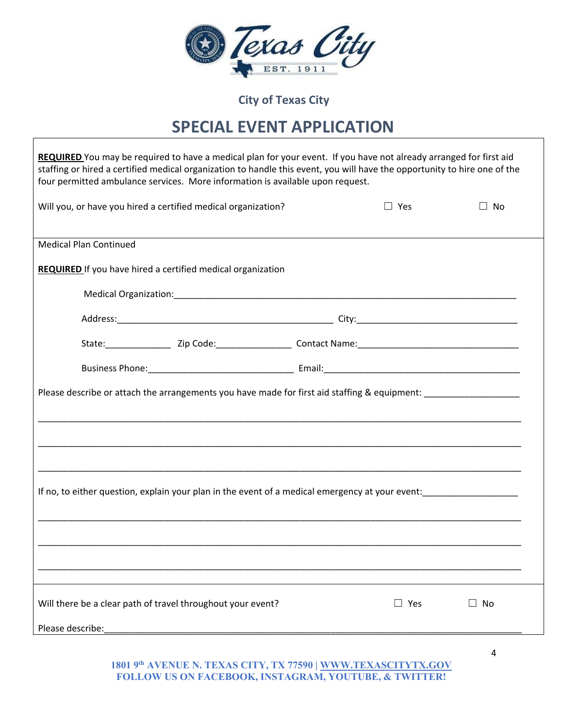

#### **SPECIAL EVENT APPLICATION**

| REQUIRED You may be required to have a medical plan for your event. If you have not already arranged for first aid<br>staffing or hired a certified medical organization to handle this event, you will have the opportunity to hire one of the |               |      |  |  |  |  |
|-------------------------------------------------------------------------------------------------------------------------------------------------------------------------------------------------------------------------------------------------|---------------|------|--|--|--|--|
| four permitted ambulance services. More information is available upon request.                                                                                                                                                                  |               |      |  |  |  |  |
| Will you, or have you hired a certified medical organization?                                                                                                                                                                                   | $\Box$ Yes    | No   |  |  |  |  |
| <b>Medical Plan Continued</b>                                                                                                                                                                                                                   |               |      |  |  |  |  |
| <b>REQUIRED</b> If you have hired a certified medical organization                                                                                                                                                                              |               |      |  |  |  |  |
|                                                                                                                                                                                                                                                 |               |      |  |  |  |  |
|                                                                                                                                                                                                                                                 |               |      |  |  |  |  |
|                                                                                                                                                                                                                                                 |               |      |  |  |  |  |
|                                                                                                                                                                                                                                                 |               |      |  |  |  |  |
| Please describe or attach the arrangements you have made for first aid staffing & equipment: _________________                                                                                                                                  |               |      |  |  |  |  |
|                                                                                                                                                                                                                                                 |               |      |  |  |  |  |
|                                                                                                                                                                                                                                                 |               |      |  |  |  |  |
| If no, to either question, explain your plan in the event of a medical emergency at your event:                                                                                                                                                 |               |      |  |  |  |  |
|                                                                                                                                                                                                                                                 |               |      |  |  |  |  |
|                                                                                                                                                                                                                                                 |               |      |  |  |  |  |
|                                                                                                                                                                                                                                                 |               |      |  |  |  |  |
| Will there be a clear path of travel throughout your event?                                                                                                                                                                                     | $\square$ Yes | ⊿ No |  |  |  |  |
| Please describe:                                                                                                                                                                                                                                |               |      |  |  |  |  |

**1801 9th AVENUE N. TEXAS CITY, TX 77590 | WWW.TEXASCITYTX.GOV FOLLOW US ON FACEBOOK, INSTAGRAM, YOUTUBE, & TWITTER!** 

4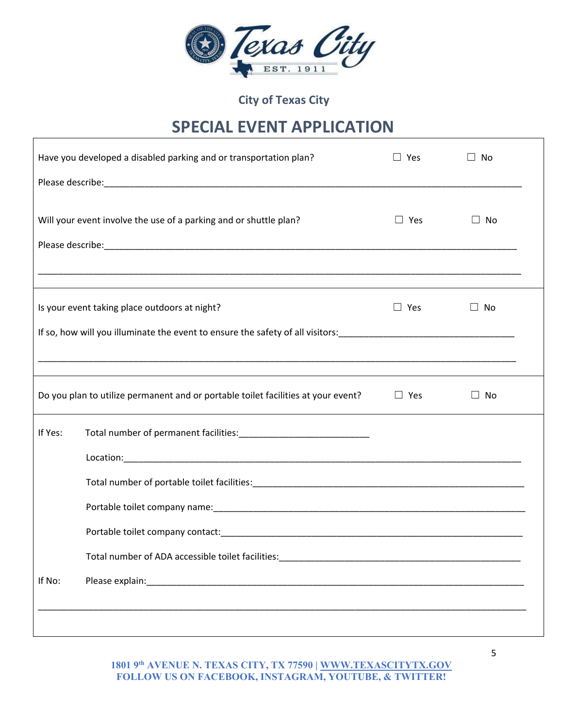

### **SPECIAL EVENT APPLICATION**

|         | Have you developed a disabled parking and or transportation plan?                            | $\Box$ Yes | $\Box$ No |  |
|---------|----------------------------------------------------------------------------------------------|------------|-----------|--|
|         |                                                                                              |            |           |  |
|         | Will your event involve the use of a parking and or shuttle plan?                            | $\Box$ Yes | $\Box$ No |  |
|         |                                                                                              |            |           |  |
|         | Is your event taking place outdoors at night?                                                | $\Box$ Yes | $\Box$ No |  |
|         |                                                                                              |            |           |  |
|         | <u> 1989 - Johann Stoff, amerikansk politiker (d. 1989)</u>                                  |            |           |  |
|         | Do you plan to utilize permanent and or portable toilet facilities at your event? $\Box$ Yes |            | $\Box$ No |  |
| If Yes: |                                                                                              |            |           |  |
|         |                                                                                              |            |           |  |
|         |                                                                                              |            |           |  |
|         |                                                                                              |            |           |  |
|         |                                                                                              |            |           |  |
|         | Total number of ADA accessible toilet facilities:                                            |            |           |  |
| If No:  |                                                                                              |            |           |  |
|         |                                                                                              |            |           |  |
|         |                                                                                              |            |           |  |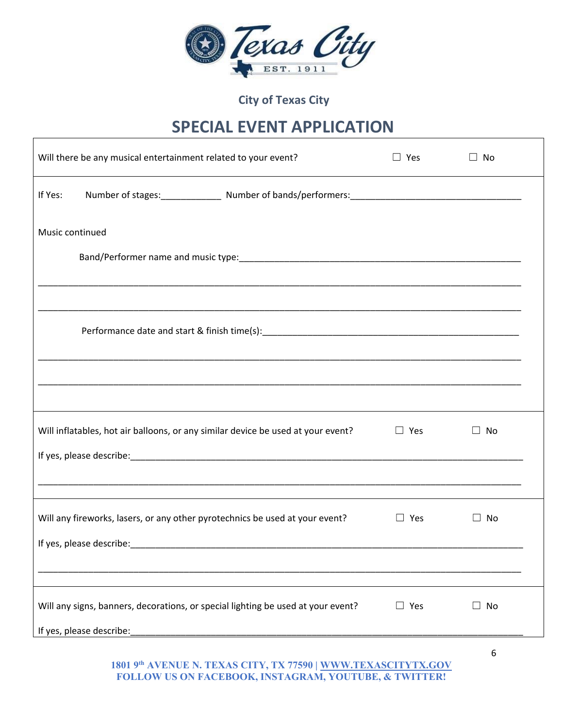

### **SPECIAL EVENT APPLICATION**

| Will there be any musical entertainment related to your event?                   | $\Box$ Yes | $\Box$ No     |  |
|----------------------------------------------------------------------------------|------------|---------------|--|
| If Yes:                                                                          |            |               |  |
| Music continued                                                                  |            |               |  |
|                                                                                  |            |               |  |
|                                                                                  |            |               |  |
|                                                                                  |            |               |  |
|                                                                                  |            |               |  |
|                                                                                  |            |               |  |
| Will inflatables, hot air balloons, or any similar device be used at your event? | $\Box$ Yes | No<br>$\perp$ |  |
|                                                                                  |            |               |  |
| Will any fireworks, lasers, or any other pyrotechnics be used at your event?     | $\Box$ Yes | No<br>$\perp$ |  |
|                                                                                  |            |               |  |
|                                                                                  |            |               |  |
| Will any signs, banners, decorations, or special lighting be used at your event? | $\Box$ Yes | $\Box$ No     |  |
| If yes, please describe:                                                         |            |               |  |
|                                                                                  |            | 6             |  |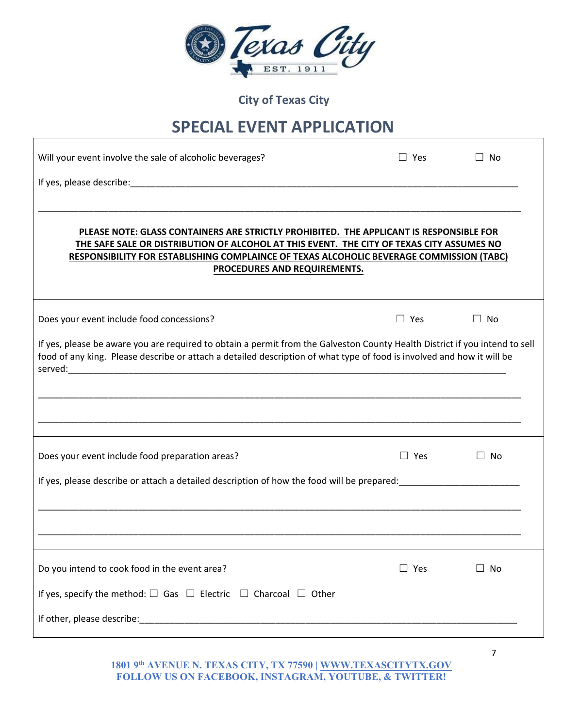|  | $\ell$ <i>x<math>\alpha</math>a</i> |  |  |
|--|-------------------------------------|--|--|
|  | EST                                 |  |  |

#### **SPECIAL EVENT APPLICATION**

| Will your event involve the sale of alcoholic beverages?                                                                    | $\Box$ Yes    | No<br>$\perp$ |
|-----------------------------------------------------------------------------------------------------------------------------|---------------|---------------|
|                                                                                                                             |               |               |
|                                                                                                                             |               |               |
| PLEASE NOTE: GLASS CONTAINERS ARE STRICTLY PROHIBITED. THE APPLICANT IS RESPONSIBLE FOR                                     |               |               |
| THE SAFE SALE OR DISTRIBUTION OF ALCOHOL AT THIS EVENT. THE CITY OF TEXAS CITY ASSUMES NO                                   |               |               |
| RESPONSIBILITY FOR ESTABLISHING COMPLAINCE OF TEXAS ALCOHOLIC BEVERAGE COMMISSION (TABC)<br>PROCEDURES AND REQUIREMENTS.    |               |               |
|                                                                                                                             |               |               |
| Does your event include food concessions?                                                                                   | $\Box$ Yes    | $\Box$ No     |
| If yes, please be aware you are required to obtain a permit from the Galveston County Health District if you intend to sell |               |               |
| food of any king. Please describe or attach a detailed description of what type of food is involved and how it will be      |               |               |
|                                                                                                                             |               |               |
|                                                                                                                             |               |               |
|                                                                                                                             |               |               |
|                                                                                                                             |               |               |
| Does your event include food preparation areas?                                                                             | $\Box$ Yes    | $\Box$ No     |
| If yes, please describe or attach a detailed description of how the food will be prepared:<br>                              |               |               |
|                                                                                                                             |               |               |
|                                                                                                                             |               |               |
|                                                                                                                             |               |               |
| Do you intend to cook food in the event area?                                                                               | $\square$ Yes | $\Box$ No     |
| If yes, specify the method: $\square$ Gas $\square$ Electric $\square$ Charcoal $\square$ Other                             |               |               |
|                                                                                                                             |               |               |
|                                                                                                                             |               |               |

**1801 9th AVENUE N. TEXAS CITY, TX 77590 | WWW.TEXASCITYTX.GOV FOLLOW US ON FACEBOOK, INSTAGRAM, YOUTUBE, & TWITTER!** 

7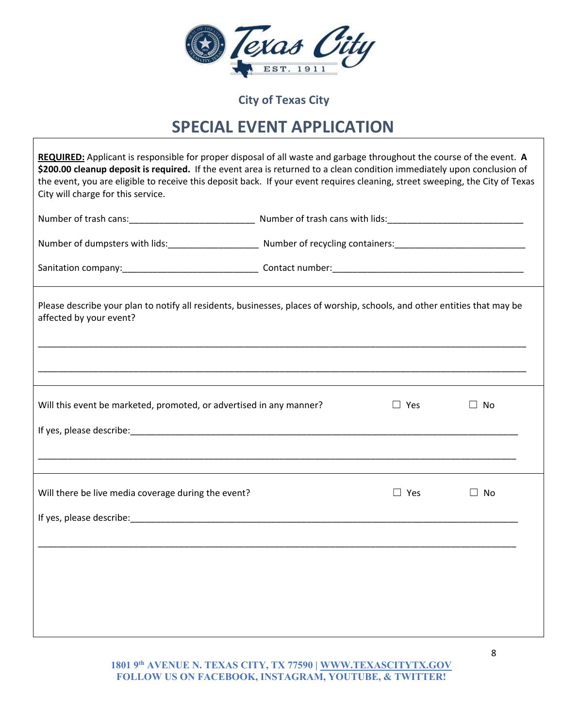

## **SPECIAL EVENT APPLICATION**

| City will charge for this service.                                  | REQUIRED: Applicant is responsible for proper disposal of all waste and garbage throughout the course of the event. A<br>\$200.00 cleanup deposit is required. If the event area is returned to a clean condition immediately upon conclusion of<br>the event, you are eligible to receive this deposit back. If your event requires cleaning, street sweeping, the City of Texas |
|---------------------------------------------------------------------|-----------------------------------------------------------------------------------------------------------------------------------------------------------------------------------------------------------------------------------------------------------------------------------------------------------------------------------------------------------------------------------|
|                                                                     |                                                                                                                                                                                                                                                                                                                                                                                   |
|                                                                     |                                                                                                                                                                                                                                                                                                                                                                                   |
|                                                                     |                                                                                                                                                                                                                                                                                                                                                                                   |
| affected by your event?                                             | Please describe your plan to notify all residents, businesses, places of worship, schools, and other entities that may be                                                                                                                                                                                                                                                         |
|                                                                     |                                                                                                                                                                                                                                                                                                                                                                                   |
| Will this event be marketed, promoted, or advertised in any manner? | $\Box$ Yes<br>$\Box$ No                                                                                                                                                                                                                                                                                                                                                           |
|                                                                     |                                                                                                                                                                                                                                                                                                                                                                                   |
|                                                                     |                                                                                                                                                                                                                                                                                                                                                                                   |
| Will there be live media coverage during the event?                 | $\Box$ No<br>$\Box$ Yes                                                                                                                                                                                                                                                                                                                                                           |
|                                                                     |                                                                                                                                                                                                                                                                                                                                                                                   |
|                                                                     |                                                                                                                                                                                                                                                                                                                                                                                   |
|                                                                     |                                                                                                                                                                                                                                                                                                                                                                                   |
|                                                                     |                                                                                                                                                                                                                                                                                                                                                                                   |
|                                                                     |                                                                                                                                                                                                                                                                                                                                                                                   |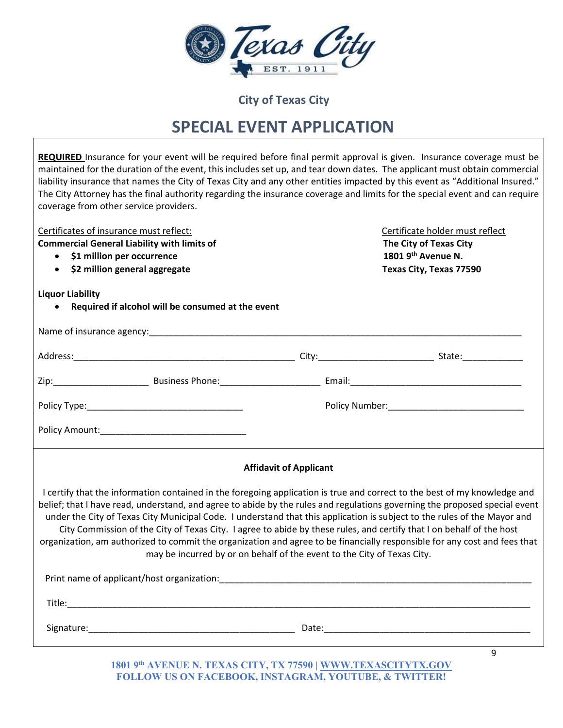|  | $2$ $Y$ $($ $Y$ $A$ |  |  |
|--|---------------------|--|--|
|  | EST                 |  |  |

## **SPECIAL EVENT APPLICATION**

| REQUIRED Insurance for your event will be required before final permit approval is given. Insurance coverage must be<br>maintained for the duration of the event, this includes set up, and tear down dates. The applicant must obtain commercial<br>liability insurance that names the City of Texas City and any other entities impacted by this event as "Additional Insured."<br>The City Attorney has the final authority regarding the insurance coverage and limits for the special event and can require<br>coverage from other service providers.                                                                                                                                                          |                                                                                                            |
|---------------------------------------------------------------------------------------------------------------------------------------------------------------------------------------------------------------------------------------------------------------------------------------------------------------------------------------------------------------------------------------------------------------------------------------------------------------------------------------------------------------------------------------------------------------------------------------------------------------------------------------------------------------------------------------------------------------------|------------------------------------------------------------------------------------------------------------|
| Certificates of insurance must reflect:<br><b>Commercial General Liability with limits of</b><br>\$1 million per occurrence<br>• \$2 million general aggregate                                                                                                                                                                                                                                                                                                                                                                                                                                                                                                                                                      | Certificate holder must reflect<br>The City of Texas City<br>1801 9th Avenue N.<br>Texas City, Texas 77590 |
| <b>Liquor Liability</b><br>Required if alcohol will be consumed at the event                                                                                                                                                                                                                                                                                                                                                                                                                                                                                                                                                                                                                                        |                                                                                                            |
|                                                                                                                                                                                                                                                                                                                                                                                                                                                                                                                                                                                                                                                                                                                     |                                                                                                            |
|                                                                                                                                                                                                                                                                                                                                                                                                                                                                                                                                                                                                                                                                                                                     |                                                                                                            |
|                                                                                                                                                                                                                                                                                                                                                                                                                                                                                                                                                                                                                                                                                                                     |                                                                                                            |
|                                                                                                                                                                                                                                                                                                                                                                                                                                                                                                                                                                                                                                                                                                                     |                                                                                                            |
|                                                                                                                                                                                                                                                                                                                                                                                                                                                                                                                                                                                                                                                                                                                     |                                                                                                            |
| <b>Affidavit of Applicant</b>                                                                                                                                                                                                                                                                                                                                                                                                                                                                                                                                                                                                                                                                                       |                                                                                                            |
| I certify that the information contained in the foregoing application is true and correct to the best of my knowledge and<br>belief; that I have read, understand, and agree to abide by the rules and regulations governing the proposed special event<br>under the City of Texas City Municipal Code. I understand that this application is subject to the rules of the Mayor and<br>City Commission of the City of Texas City. I agree to abide by these rules, and certify that I on behalf of the host<br>organization, am authorized to commit the organization and agree to be financially responsible for any cost and fees that<br>may be incurred by or on behalf of the event to the City of Texas City. |                                                                                                            |
|                                                                                                                                                                                                                                                                                                                                                                                                                                                                                                                                                                                                                                                                                                                     |                                                                                                            |
|                                                                                                                                                                                                                                                                                                                                                                                                                                                                                                                                                                                                                                                                                                                     |                                                                                                            |
|                                                                                                                                                                                                                                                                                                                                                                                                                                                                                                                                                                                                                                                                                                                     |                                                                                                            |
|                                                                                                                                                                                                                                                                                                                                                                                                                                                                                                                                                                                                                                                                                                                     | 9                                                                                                          |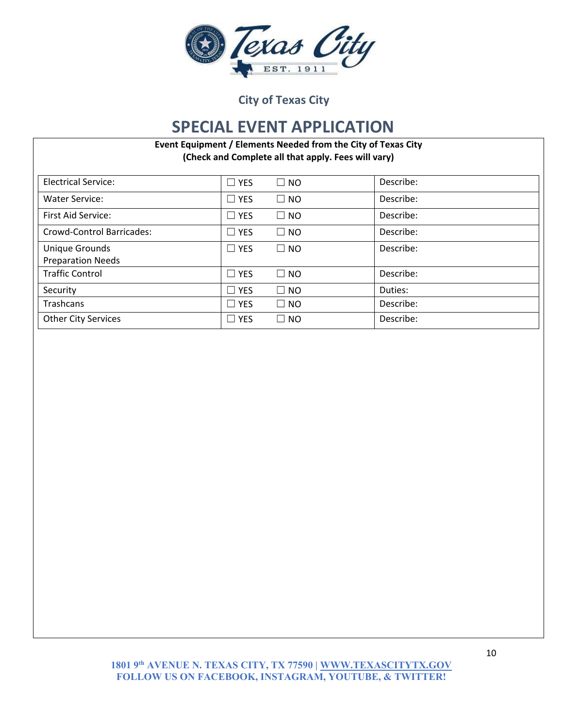

#### **SPECIAL EVENT APPLICATION**

**Event Equipment / Elements Needed from the City of Texas City (Check and Complete all that apply. Fees will vary)** 

| <b>Electrical Service:</b> | $\Box$ YES | $\Box$ NO    | Describe: |
|----------------------------|------------|--------------|-----------|
| <b>Water Service:</b>      | $\Box$ YES | $\square$ NO | Describe: |
| First Aid Service:         | $\Box$ YES | $\square$ NO | Describe: |
| Crowd-Control Barricades:  | $\Box$ YES | $\square$ NO | Describe: |
| Unique Grounds             | $\Box$ YES | $\Box$ NO    | Describe: |
| <b>Preparation Needs</b>   |            |              |           |
| <b>Traffic Control</b>     | $\Box$ YES | $\Box$ NO    | Describe: |
| Security                   | $\Box$ YES | $\Box$ NO    | Duties:   |
| Trashcans                  | $\Box$ YES | $\Box$ NO    | Describe: |
| <b>Other City Services</b> | $\Box$ YES | $\square$ NO | Describe: |